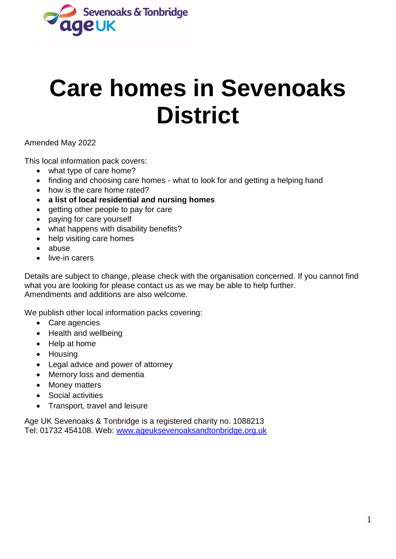

# **Care homes in Sevenoaks District**

Amended May 2022

This local information pack covers:

- what type of care home?
- finding and choosing care homes what to look for and getting a helping hand
- how is the care home rated?
- **a list of local residential and nursing homes**
- getting other people to pay for care
- paying for care yourself
- what happens with disability benefits?
- help visiting care homes
- abuse
- live-in carers

Details are subject to change, please check with the organisation concerned. If you cannot find what you are looking for please contact us as we may be able to help further. Amendments and additions are also welcome.

We publish other local information packs covering:

- Care agencies
- Health and wellbeing
- Help at home
- Housing
- Legal advice and power of attorney
- Memory loss and dementia
- Money matters
- Social activities
- Transport, travel and leisure

Age UK Sevenoaks & Tonbridge is a registered charity no. 1088213 Tel: 01732 454108. Web: [www.ageuksevenoaksandtonbridge.org.uk](http://www.ageuksevenoaksandtonbridge.org.uk/)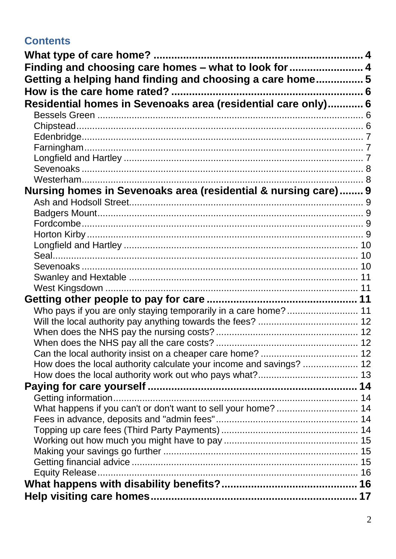# **Contents**

| Finding and choosing care homes - what to look for  4               |  |
|---------------------------------------------------------------------|--|
| Getting a helping hand finding and choosing a care home5            |  |
|                                                                     |  |
| Residential homes in Sevenoaks area (residential care only) 6       |  |
|                                                                     |  |
|                                                                     |  |
|                                                                     |  |
|                                                                     |  |
|                                                                     |  |
|                                                                     |  |
|                                                                     |  |
| Nursing homes in Sevenoaks area (residential & nursing care) 9      |  |
|                                                                     |  |
|                                                                     |  |
|                                                                     |  |
|                                                                     |  |
|                                                                     |  |
|                                                                     |  |
|                                                                     |  |
|                                                                     |  |
|                                                                     |  |
|                                                                     |  |
| Who pays if you are only staying temporarily in a care home?  11    |  |
|                                                                     |  |
|                                                                     |  |
|                                                                     |  |
|                                                                     |  |
| How does the local authority calculate your income and savings?  12 |  |
|                                                                     |  |
|                                                                     |  |
|                                                                     |  |
| What happens if you can't or don't want to sell your home?  14      |  |
|                                                                     |  |
|                                                                     |  |
|                                                                     |  |
|                                                                     |  |
| Equity Release.                                                     |  |
|                                                                     |  |
|                                                                     |  |
|                                                                     |  |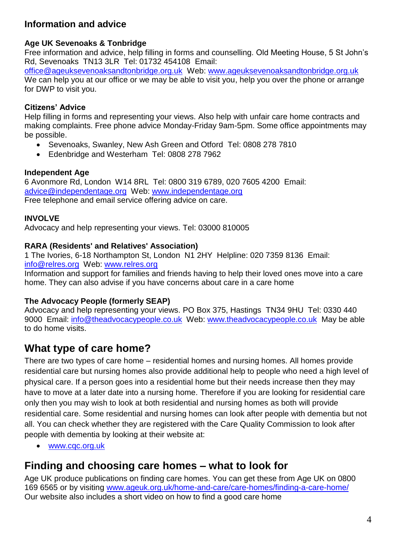## **Information and advice**

#### **Age UK Sevenoaks & Tonbridge**

Free information and advice, help filling in forms and counselling. Old Meeting House, 5 St John's Rd, Sevenoaks TN13 3LR Tel: 01732 454108 Email:

[office@ageuksevenoaksandtonbridge.org.uk](mailto:office@ageuksevenoaksandtonbridge.org.uk)Web: [www.ageuksevenoaksandtonbridge.org.uk](http://www.ageuksevenoaksandtonbridge.org.uk/) We can help you at our office or we may be able to visit you, help you over the phone or arrange for DWP to visit you.

#### **Citizens' Advice**

Help filling in forms and representing your views. Also help with unfair care home contracts and making complaints. Free phone advice Monday-Friday 9am-5pm. Some office appointments may be possible.

- Sevenoaks, Swanley, New Ash Green and Otford Tel: 0808 278 7810
- Edenbridge and Westerham Tel: 0808 278 7962

#### **Independent Age**

6 Avonmore Rd, London W14 8RL Tel: 0800 319 6789, 020 7605 4200 Email: [advice@independentage.org](mailto:advice@independentage.org) Web: [www.independentage.org](http://www.independentage.org/) Free telephone and email service offering advice on care.

#### **INVOLVE**

Advocacy and help representing your views. Tel: 03000 810005

#### **RARA (Residents' and Relatives' Association)**

1 The Ivories, 6-18 Northampton St, London N1 2HY Helpline: 020 7359 8136 Email: info@relres.org Web: www.relres.org

Information and support for families and friends having to help their loved ones move into a care home. They can also advise if you have concerns about care in a care home

#### **The Advocacy People (formerly SEAP)**

Advocacy and help representing your views. PO Box 375, Hastings TN34 9HU Tel: 0330 440 9000 Email: [info@theadvocacypeople.co.uk](mailto:info@theadvocacypeople.co.uk) Web: [www.theadvocacypeople.co.uk](http://www.theadvocacypeople.co.uk/) May be able to do home visits.

# <span id="page-3-0"></span>**What type of care home?**

There are two types of care home – residential homes and nursing homes. All homes provide residential care but nursing homes also provide additional help to people who need a high level of physical care. If a person goes into a residential home but their needs increase then they may have to move at a later date into a nursing home. Therefore if you are looking for residential care only then you may wish to look at both residential and nursing homes as both will provide residential care. Some residential and nursing homes can look after people with dementia but not all. You can check whether they are registered with the Care Quality Commission to look after people with dementia by looking at their website at:

[www.cqc.org.uk](http://www.cqc.org.uk/)

# <span id="page-3-1"></span>**Finding and choosing care homes – what to look for**

Age UK produce publications on finding care homes. You can get these from Age UK on 0800 169 6565 or by visiting www.ageuk.org.uk/home-and-care/care-homes/finding-a-care-home/ Our website also includes a short video on how to find a good care home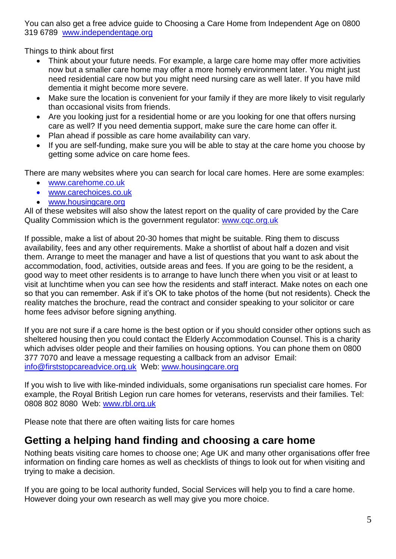You can also get a free advice guide to Choosing a Care Home from Independent Age on 0800 319 6789 [www.independentage.org](http://www.independentage.org/)

Things to think about first

- Think about your future needs. For example, a large care home may offer more activities now but a smaller care home may offer a more homely environment later. You might just need residential care now but you might need nursing care as well later. If you have mild dementia it might become more severe.
- Make sure the location is convenient for your family if they are more likely to visit regularly than occasional visits from friends.
- Are you looking just for a residential home or are you looking for one that offers nursing care as well? If you need dementia support, make sure the care home can offer it.
- Plan ahead if possible as care home availability can vary.
- If you are self-funding, make sure you will be able to stay at the care home you choose by getting some advice on care home fees.

There are many websites where you can search for local care homes. Here are some examples:

- www.carehome.co.uk
- [www.carechoices.co.uk](http://www.carechoices.co.uk/)
- www.housingcare.org

All of these websites will also show the latest report on the quality of care provided by the Care Quality Commission which is the government regulator: [www.cqc.org.uk](http://www.cqc.org.uk/)

If possible, make a list of about 20-30 homes that might be suitable. Ring them to discuss availability, fees and any other requirements. Make a shortlist of about half a dozen and visit them. Arrange to meet the manager and have a list of questions that you want to ask about the accommodation, food, activities, outside areas and fees. If you are going to be the resident, a good way to meet other residents is to arrange to have lunch there when you visit or at least to visit at lunchtime when you can see how the residents and staff interact. Make notes on each one so that you can remember. Ask if it's OK to take photos of the home (but not residents). Check the reality matches the brochure, read the contract and consider speaking to your solicitor or care home fees advisor before signing anything.

If you are not sure if a care home is the best option or if you should consider other options such as sheltered housing then you could contact the Elderly Accommodation Counsel. This is a charity which advises older people and their families on housing options. You can phone them on 0800 377 7070 and leave a message requesting a callback from an advisor Email: info@firststopcareadvice.org.uk Web: www.housingcare.org

If you wish to live with like-minded individuals, some organisations run specialist care homes. For example, the Royal British Legion run care homes for veterans, reservists and their families. Tel: 0808 802 8080 Web: www.rbl.org.uk

Please note that there are often waiting lists for care homes

# <span id="page-4-0"></span>**Getting a helping hand finding and choosing a care home**

Nothing beats visiting care homes to choose one; Age UK and many other organisations offer free information on finding care homes as well as checklists of things to look out for when visiting and trying to make a decision.

If you are going to be local authority funded, Social Services will help you to find a care home. However doing your own research as well may give you more choice.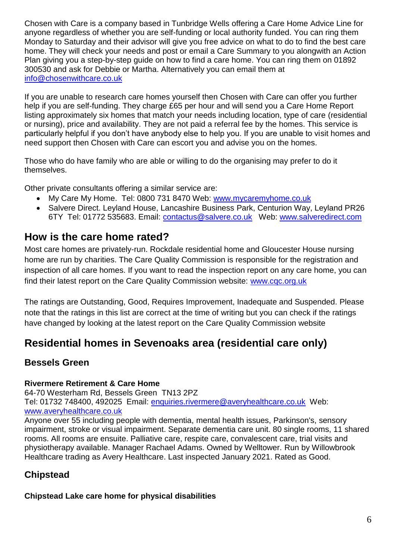Chosen with Care is a company based in Tunbridge Wells offering a Care Home Advice Line for anyone regardless of whether you are self-funding or local authority funded. You can ring them Monday to Saturday and their advisor will give you free advice on what to do to find the best care home. They will check your needs and post or email a Care Summary to you alongwith an Action Plan giving you a step-by-step guide on how to find a care home. You can ring them on 01892 300530 and ask for Debbie or Martha. Alternatively you can email them at [info@chosenwithcare.co.uk](mailto:info@chosenwithcare.co.uk)

If you are unable to research care homes yourself then Chosen with Care can offer you further help if you are self-funding. They charge £65 per hour and will send you a Care Home Report listing approximately six homes that match your needs including location, type of care (residential or nursing), price and availability. They are not paid a referral fee by the homes. This service is particularly helpful if you don't have anybody else to help you. If you are unable to visit homes and need support then Chosen with Care can escort you and advise you on the homes.

Those who do have family who are able or willing to do the organising may prefer to do it themselves.

Other private consultants offering a similar service are:

- My Care My Home. Tel: 0800 731 8470 Web: [www.mycaremyhome.co.uk](http://www.mycaremyhome.co.uk/)
- Salvere Direct. Leyland House, Lancashire Business Park, Centurion Way, Leyland PR26 6TY Tel: 01772 535683. Email: [contactus@salvere.co.uk](mailto:contactus@salvere.co.uk) Web: [www.salveredirect.com](http://www.salveredirect.com/)

# <span id="page-5-0"></span>**How is the care home rated?**

Most care homes are privately-run. Rockdale residential home and Gloucester House nursing home are run by charities. The Care Quality Commission is responsible for the registration and inspection of all care homes. If you want to read the inspection report on any care home, you can find their latest report on the Care Quality Commission website: [www.cqc.org.uk](http://www.cqc.org.uk/)

The ratings are Outstanding, Good, Requires Improvement, Inadequate and Suspended. Please note that the ratings in this list are correct at the time of writing but you can check if the ratings have changed by looking at the latest report on the Care Quality Commission website

# <span id="page-5-1"></span>**Residential homes in Sevenoaks area (residential care only)**

## <span id="page-5-2"></span>**Bessels Green**

#### **Rivermere Retirement & Care Home**

64-70 Westerham Rd, Bessels Green TN13 2PZ Tel: 01732 748400, 492025 Email: [enquiries.rivermere@averyhealthcare.co.uk](mailto:enquiries.rivermere@averyhealthcare.co.uk) Web: www.averyhealthcare.co.uk

Anyone over 55 including people with dementia, mental health issues, Parkinson's, sensory impairment, stroke or visual impairment. Separate dementia care unit. 80 single rooms, 11 shared rooms. All rooms are ensuite. Palliative care, respite care, convalescent care, trial visits and physiotherapy available. Manager Rachael Adams. Owned by Welltower. Run by Willowbrook Healthcare trading as Avery Healthcare. Last inspected January 2021. Rated as Good.

## <span id="page-5-3"></span>**Chipstead**

#### **Chipstead Lake care home for physical disabilities**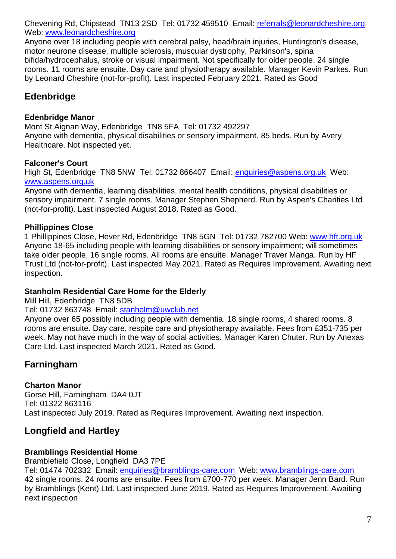Chevening Rd, Chipstead TN13 2SD Tel: 01732 459510 Email: referrals@leonardcheshire.org Web: www.leonardcheshire.org

Anyone over 18 including people with cerebral palsy, head/brain injuries, Huntington's disease, motor neurone disease, multiple sclerosis, muscular dystrophy, Parkinson's, spina bifida/hydrocephalus, stroke or visual impairment. Not specifically for older people. 24 single rooms. 11 rooms are ensuite. Day care and physiotherapy available. Manager Kevin Parkes. Run by Leonard Cheshire (not-for-profit). Last inspected February 2021. Rated as Good

## <span id="page-6-0"></span>**Edenbridge**

#### **Edenbridge Manor**

Mont St Aignan Way, Edenbridge TN8 5FA Tel: 01732 492297 Anyone with dementia, physical disabilities or sensory impairment. 85 beds. Run by Avery Healthcare. Not inspected yet.

#### **Falconer's Court**

High St, Edenbridge TN8 5NW Tel: 01732 866407 Email: [enquiries@aspens.org.uk](mailto:enquiries@aspens.org.uk) Web: [www.aspens.org.uk](http://www.aspens.org.uk/)

Anyone with dementia, learning disabilities, mental health conditions, physical disabilities or sensory impairment. 7 single rooms. Manager Stephen Shepherd. Run by Aspen's Charities Ltd (not-for-profit). Last inspected August 2018. Rated as Good.

#### **Phillippines Close**

1 Phillippines Close, Hever Rd, Edenbridge TN8 5GN Tel: 01732 782700 Web: www.hft.org.uk Anyone 18-65 including people with learning disabilities or sensory impairment; will sometimes take older people. 16 single rooms. All rooms are ensuite. Manager Traver Manga. Run by HF Trust Ltd (not-for-profit). Last inspected May 2021. Rated as Requires Improvement. Awaiting next inspection.

#### **Stanholm Residential Care Home for the Elderly**

Mill Hill, Edenbridge TN8 5DB

Tel: 01732 863748 Email: [stanholm@uwclub.net](mailto:stanholm@uwclub.net)

Anyone over 65 possibly including people with dementia. 18 single rooms, 4 shared rooms. 8 rooms are ensuite. Day care, respite care and physiotherapy available. Fees from £351-735 per week. May not have much in the way of social activities. Manager Karen Chuter. Run by Anexas Care Ltd. Last inspected March 2021. Rated as Good.

## <span id="page-6-1"></span>**Farningham**

#### **Charton Manor**

Gorse Hill, Farningham DA4 0JT Tel: 01322 863116 Last inspected July 2019. Rated as Requires Improvement. Awaiting next inspection.

## <span id="page-6-2"></span>**Longfield and Hartley**

#### **Bramblings Residential Home**

Bramblefield Close, Longfield DA3 7PE

Tel: 01474 702332 Email: [enquiries@bramblings-care.com](mailto:enquiries@bramblings-care.com) Web: [www.bramblings-care.com](http://www.bramblings-care.com/) 42 single rooms. 24 rooms are ensuite. Fees from £700-770 per week. Manager Jenn Bard. Run by Bramblings (Kent) Ltd. Last inspected June 2019. Rated as Requires Improvement. Awaiting next inspection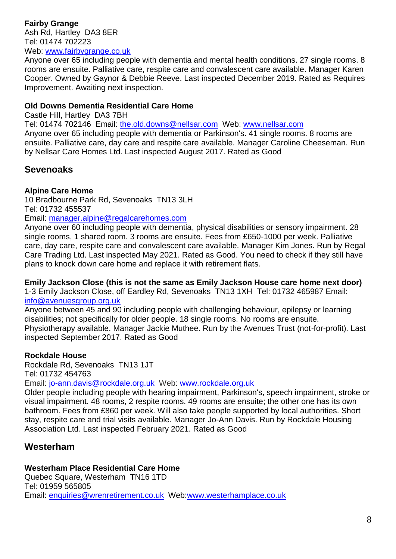#### **Fairby Grange** Ash Rd, Hartley DA3 8ER Tel: 01474 702223 Web: [www.fairbygrange.co.uk](http://www.fairbygrange.co.uk/)

Anyone over 65 including people with dementia and mental health conditions. 27 single rooms. 8 rooms are ensuite. Palliative care, respite care and convalescent care available. Manager Karen Cooper. Owned by Gaynor & Debbie Reeve. Last inspected December 2019. Rated as Requires Improvement. Awaiting next inspection.

#### **Old Downs Dementia Residential Care Home**

Castle Hill, Hartley DA3 7BH

Tel: 01474 702146 Email: [the.old.downs@nellsar.com](mailto:the.old.downs@nellsar.com) Web: [www.nellsar.com](http://www.nellsar.com/)

Anyone over 65 including people with dementia or Parkinson's. 41 single rooms. 8 rooms are ensuite. Palliative care, day care and respite care available. Manager Caroline Cheeseman. Run by Nellsar Care Homes Ltd. Last inspected August 2017. Rated as Good

## <span id="page-7-0"></span>**Sevenoaks**

#### **Alpine Care Home**

10 Bradbourne Park Rd, Sevenoaks TN13 3LH Tel: 01732 455537

Email: manager[.alpine@regalcarehomes.com](mailto:alpine@regalcarehomes.com)

Anyone over 60 including people with dementia, physical disabilities or sensory impairment. 28 single rooms, 1 shared room. 3 rooms are ensuite. Fees from £650-1000 per week. Palliative care, day care, respite care and convalescent care available. Manager Kim Jones. Run by Regal Care Trading Ltd. Last inspected May 2021. Rated as Good. You need to check if they still have plans to knock down care home and replace it with retirement flats.

#### **Emily Jackson Close (this is not the same as Emily Jackson House care home next door)**

1-3 Emily Jackson Close, off Eardley Rd, Sevenoaks TN13 1XH Tel: 01732 465987 Email: [info@avenuesgroup.org.uk](mailto:info@avenuesgroup.org.uk)

Anyone between 45 and 90 including people with challenging behaviour, epilepsy or learning disabilities; not specifically for older people. 18 single rooms. No rooms are ensuite. Physiotherapy available. Manager Jackie Muthee. Run by the Avenues Trust (not-for-profit). Last inspected September 2017. Rated as Good

#### **Rockdale House**

Rockdale Rd, Sevenoaks TN13 1JT Tel: 01732 454763

Email: [jo-ann.davis@rockdale.org.uk](mailto:jo-ann.davis@rockdale.org.uk) Web: [www.rockdale.org.uk](http://www.rockdale.org.uk/)

Older people including people with hearing impairment, Parkinson's, speech impairment, stroke or visual impairment. 48 rooms, 2 respite rooms. 49 rooms are ensuite; the other one has its own bathroom. Fees from £860 per week. Will also take people supported by local authorities. Short stay, respite care and trial visits available. Manager Jo-Ann Davis. Run by Rockdale Housing Association Ltd. Last inspected February 2021. Rated as Good

## <span id="page-7-1"></span>**Westerham**

## **Westerham Place Residential Care Home**

Quebec Square, Westerham TN16 1TD Tel: 01959 565805 Email: [enquiries@wrenretirement.co.uk](mailto:enquiries@wrenretirement.co.uk) Web[:www.westerhamplace.co.uk](http://www.westerhamplace.co.uk/)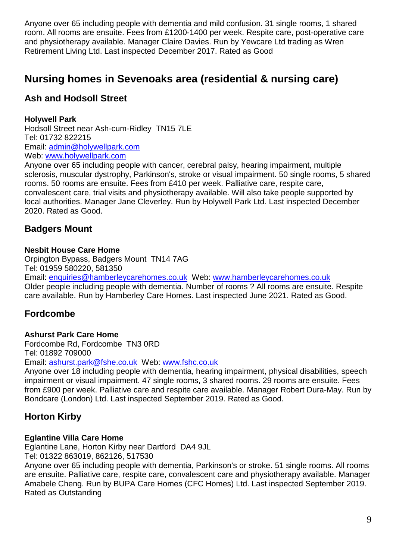Anyone over 65 including people with dementia and mild confusion. 31 single rooms, 1 shared room. All rooms are ensuite. Fees from £1200-1400 per week. Respite care, post-operative care and physiotherapy available. Manager Claire Davies. Run by Yewcare Ltd trading as Wren Retirement Living Ltd. Last inspected December 2017. Rated as Good

# <span id="page-8-0"></span>**Nursing homes in Sevenoaks area (residential & nursing care)**

## <span id="page-8-1"></span>**Ash and Hodsoll Street**

#### **Holywell Park**

Hodsoll Street near Ash-cum-Ridley TN15 7LE Tel: 01732 822215 Email: [admin@holywellpark.com](mailto:admin@holywellpark.com) Web: [www.holywellpark.com](http://www.holywellpark.com/)

Anyone over 65 including people with cancer, cerebral palsy, hearing impairment, multiple sclerosis, muscular dystrophy, Parkinson's, stroke or visual impairment. 50 single rooms, 5 shared rooms. 50 rooms are ensuite. Fees from £410 per week. Palliative care, respite care, convalescent care, trial visits and physiotherapy available. Will also take people supported by local authorities. Manager Jane Cleverley. Run by Holywell Park Ltd. Last inspected December 2020. Rated as Good.

## <span id="page-8-2"></span>**Badgers Mount**

#### **Nesbit House Care Home**

Orpington Bypass, Badgers Mount TN14 7AG Tel: 01959 580220, 581350 Email: [enquiries@hamberleycarehomes.co.uk](mailto:enquiries@hamberleycarehomes.co.uk) Web: [www.hamberleycarehomes.co.uk](http://www.hamberleycarehomes.co.uk/) Older people including people with dementia. Number of rooms ? All rooms are ensuite. Respite care available. Run by Hamberley Care Homes. Last inspected June 2021. Rated as Good.

## <span id="page-8-3"></span>**Fordcombe**

#### **Ashurst Park Care Home**

Fordcombe Rd, Fordcombe TN3 0RD Tel: 01892 709000

Email: [ashurst.park@fshe.co.uk](mailto:ashurst.park@fshe.co.uk) Web: [www.fshc.co.uk](http://www.fshc.co.uk/)

Anyone over 18 including people with dementia, hearing impairment, physical disabilities, speech impairment or visual impairment. 47 single rooms, 3 shared rooms. 29 rooms are ensuite. Fees from £900 per week. Palliative care and respite care available. Manager Robert Dura-May. Run by Bondcare (London) Ltd. Last inspected September 2019. Rated as Good.

## <span id="page-8-4"></span>**Horton Kirby**

#### **Eglantine Villa Care Home**

Eglantine Lane, Horton Kirby near Dartford DA4 9JL

Tel: 01322 863019, 862126, 517530

Anyone over 65 including people with dementia, Parkinson's or stroke. 51 single rooms. All rooms are ensuite. Palliative care, respite care, convalescent care and physiotherapy available. Manager Amabele Cheng. Run by BUPA Care Homes (CFC Homes) Ltd. Last inspected September 2019. Rated as Outstanding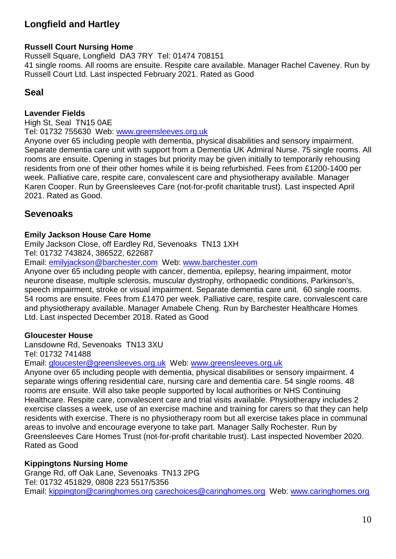## <span id="page-9-0"></span>**Longfield and Hartley**

#### **Russell Court Nursing Home**

Russell Square, Longfield DA3 7RY Tel: 01474 708151 41 single rooms. All rooms are ensuite. Respite care available. Manager Rachel Caveney. Run by Russell Court Ltd. Last inspected February 2021. Rated as Good

#### <span id="page-9-1"></span>**Seal**

#### **Lavender Fields**

High St, Seal TN15 0AE Tel: 01732 755630 Web: [www.greensleeves.org.uk](http://www.greensleeves.org.uk/) Anyone over 65 including people with dementia, physical disabilities and sensory impairment. Separate dementia care unit with support from a Dementia UK Admiral Nurse. 75 single rooms. All rooms are ensuite. Opening in stages but priority may be given initially to temporarily rehousing residents from one of their other homes while it is being refurbished. Fees from £1200-1400 per week. Palliative care, respite care, convalescent care and physiotherapy available. Manager Karen Cooper. Run by Greensleeves Care (not-for-profit charitable trust). Last inspected April 2021. Rated as Good.

## <span id="page-9-2"></span>**Sevenoaks**

#### **Emily Jackson House Care Home**

Emily Jackson Close, off Eardley Rd, Sevenoaks TN13 1XH Tel: 01732 743824, 386522, 622687

Email: [emilyjackson@barchester.com](mailto:emilyjackson@barchester.com) Web: [www.barchester.com](http://www.barchester.com/)

Anyone over 65 including people with cancer, dementia, epilepsy, hearing impairment, motor neurone disease, multiple sclerosis, muscular dystrophy, orthopaedic conditions, Parkinson's, speech impairment, stroke or visual impairment. Separate dementia care unit. 60 single rooms. 54 rooms are ensuite. Fees from £1470 per week. Palliative care, respite care, convalescent care and physiotherapy available. Manager Amabele Cheng. Run by Barchester Healthcare Homes Ltd. Last inspected December 2018. Rated as Good

#### **Gloucester House**

Lansdowne Rd, Sevenoaks TN13 3XU

Tel: 01732 741488

Email: [gloucester@greensleeves.org.uk](mailto:gloucester@greensleeves.org.uk) Web: [www.greensleeves.org.uk](http://www.greensleeves.org.uk/)

Anyone over 65 including people with dementia, physical disabilities or sensory impairment. 4 separate wings offering residential care, nursing care and dementia care. 54 single rooms. 48 rooms are ensuite. Will also take people supported by local authorities or NHS Continuing Healthcare. Respite care, convalescent care and trial visits available. Physiotherapy includes 2 exercise classes a week, use of an exercise machine and training for carers so that they can help residents with exercise. There is no physiotherapy room but all exercise takes place in communal areas to involve and encourage everyone to take part. Manager Sally Rochester. Run by Greensleeves Care Homes Trust (not-for-profit charitable trust). Last inspected November 2020. Rated as Good

#### **Kippingtons Nursing Home**

Grange Rd, off Oak Lane, Sevenoaks TN13 2PG Tel: 01732 451829, 0808 223 5517/5356 Email: [kippington@caringhomes.org](mailto:kippington@caringhomes.org) [carechoices@caringhomes.org](mailto:carechoices@caringhomes.org) Web: [www.caringhomes.org](http://www.caringhomes.org/)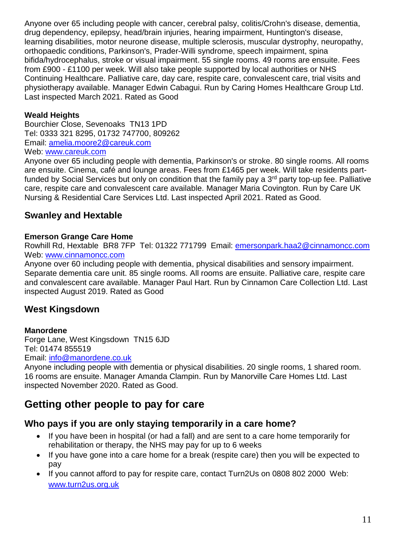Anyone over 65 including people with cancer, cerebral palsy, colitis/Crohn's disease, dementia, drug dependency, epilepsy, head/brain injuries, hearing impairment, Huntington's disease, learning disabilities, motor neurone disease, multiple sclerosis, muscular dystrophy, neuropathy, orthopaedic conditions, Parkinson's, Prader-Willi syndrome, speech impairment, spina bifida/hydrocephalus, stroke or visual impairment. 55 single rooms. 49 rooms are ensuite. Fees from £900 - £1100 per week. Will also take people supported by local authorities or NHS Continuing Healthcare. Palliative care, day care, respite care, convalescent care, trial visits and physiotherapy available. Manager Edwin Cabagui. Run by Caring Homes Healthcare Group Ltd. Last inspected March 2021. Rated as Good

#### **Weald Heights**

Bourchier Close, Sevenoaks TN13 1PD Tel: 0333 321 8295, 01732 747700, 809262 Email: [amelia.moore2@careuk.com](mailto:amelia.moore2@careuk.com) Web: [www.careuk.com](http://www.careuk.com/)

Anyone over 65 including people with dementia, Parkinson's or stroke. 80 single rooms. All rooms are ensuite. Cinema, café and lounge areas. Fees from £1465 per week. Will take residents partfunded by Social Services but only on condition that the family pay a 3<sup>rd</sup> party top-up fee. Palliative care, respite care and convalescent care available. Manager Maria Covington. Run by Care UK Nursing & Residential Care Services Ltd. Last inspected April 2021. Rated as Good.

## <span id="page-10-0"></span>**Swanley and Hextable**

#### **Emerson Grange Care Home**

Rowhill Rd, Hextable BR8 7FP Tel: 01322 771799 Email: emersonpark.haa2@cinnamoncc.com Web: www.cinnamoncc.com

Anyone over 60 including people with dementia, physical disabilities and sensory impairment. Separate dementia care unit. 85 single rooms. All rooms are ensuite. Palliative care, respite care and convalescent care available. Manager Paul Hart. Run by Cinnamon Care Collection Ltd. Last inspected August 2019. Rated as Good

## <span id="page-10-1"></span>**West Kingsdown**

#### **Manordene**

Forge Lane, West Kingsdown TN15 6JD Tel: 01474 855519

Email: [info@manordene.co.uk](mailto:info@manordene.co.uk)

Anyone including people with dementia or physical disabilities. 20 single rooms, 1 shared room. 16 rooms are ensuite. Manager Amanda Clampin. Run by Manorville Care Homes Ltd. Last inspected November 2020. Rated as Good.

# <span id="page-10-2"></span>**Getting other people to pay for care**

## <span id="page-10-3"></span>**Who pays if you are only staying temporarily in a care home?**

- If you have been in hospital (or had a fall) and are sent to a care home temporarily for rehabilitation or therapy, the NHS may pay for up to 6 weeks
- If you have gone into a care home for a break (respite care) then you will be expected to pay
- If you cannot afford to pay for respite care, contact Turn2Us on 0808 802 2000 Web: www.turn2us.org.uk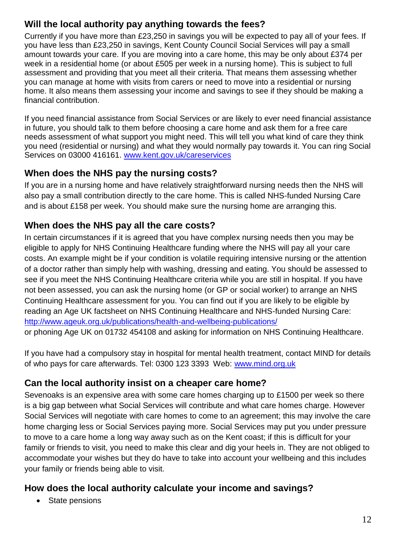## <span id="page-11-0"></span>**Will the local authority pay anything towards the fees?**

Currently if you have more than £23,250 in savings you will be expected to pay all of your fees. If you have less than £23,250 in savings, Kent County Council Social Services will pay a small amount towards your care. If you are moving into a care home, this may be only about £374 per week in a residential home (or about £505 per week in a nursing home). This is subject to full assessment and providing that you meet all their criteria. That means them assessing whether you can manage at home with visits from carers or need to move into a residential or nursing home. It also means them assessing your income and savings to see if they should be making a financial contribution.

If you need financial assistance from Social Services or are likely to ever need financial assistance in future, you should talk to them before choosing a care home and ask them for a free care needs assessment of what support you might need. This will tell you what kind of care they think you need (residential or nursing) and what they would normally pay towards it. You can ring Social Services on 03000 416161. [www.kent.gov.uk/careservices](http://www.kent.gov.uk/careservices)

## <span id="page-11-1"></span>**When does the NHS pay the nursing costs?**

If you are in a nursing home and have relatively straightforward nursing needs then the NHS will also pay a small contribution directly to the care home. This is called NHS-funded Nursing Care and is about £158 per week. You should make sure the nursing home are arranging this.

## <span id="page-11-2"></span>**When does the NHS pay all the care costs?**

In certain circumstances if it is agreed that you have complex nursing needs then you may be eligible to apply for NHS Continuing Healthcare funding where the NHS will pay all your care costs. An example might be if your condition is volatile requiring intensive nursing or the attention of a doctor rather than simply help with washing, dressing and eating. You should be assessed to see if you meet the NHS Continuing Healthcare criteria while you are still in hospital. If you have not been assessed, you can ask the nursing home (or GP or social worker) to arrange an NHS Continuing Healthcare assessment for you. You can find out if you are likely to be eligible by reading an Age UK factsheet on NHS Continuing Healthcare and NHS-funded Nursing Care: <http://www.ageuk.org.uk/publications/health-and-wellbeing-publications/>

or phoning Age UK on 01732 454108 and asking for information on NHS Continuing Healthcare.

If you have had a compulsory stay in hospital for mental health treatment, contact MIND for details of who pays for care afterwards. Tel: 0300 123 3393 Web: www.mind.org.uk

## <span id="page-11-3"></span>**Can the local authority insist on a cheaper care home?**

Sevenoaks is an expensive area with some care homes charging up to £1500 per week so there is a big gap between what Social Services will contribute and what care homes charge. However Social Services will negotiate with care homes to come to an agreement; this may involve the care home charging less or Social Services paying more. Social Services may put you under pressure to move to a care home a long way away such as on the Kent coast; if this is difficult for your family or friends to visit, you need to make this clear and dig your heels in. They are not obliged to accommodate your wishes but they do have to take into account your wellbeing and this includes your family or friends being able to visit.

## <span id="page-11-4"></span>**How does the local authority calculate your income and savings?**

• State pensions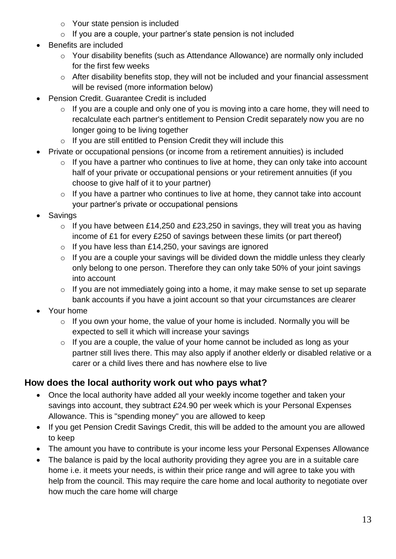- o Your state pension is included
- $\circ$  If you are a couple, your partner's state pension is not included
- Benefits are included
	- o Your disability benefits (such as Attendance Allowance) are normally only included for the first few weeks
	- o After disability benefits stop, they will not be included and your financial assessment will be revised (more information below)
- Pension Credit. Guarantee Credit is included
	- $\circ$  If you are a couple and only one of you is moving into a care home, they will need to recalculate each partner's entitlement to Pension Credit separately now you are no longer going to be living together
	- o If you are still entitled to Pension Credit they will include this
- Private or occupational pensions (or income from a retirement annuities) is included
	- $\circ$  If you have a partner who continues to live at home, they can only take into account half of your private or occupational pensions or your retirement annuities (if you choose to give half of it to your partner)
	- $\circ$  If you have a partner who continues to live at home, they cannot take into account your partner's private or occupational pensions
- Savings
	- $\circ$  If you have between £14,250 and £23,250 in savings, they will treat you as having income of £1 for every £250 of savings between these limits (or part thereof)
	- $\circ$  If you have less than £14,250, your savings are ignored
	- $\circ$  If you are a couple your savings will be divided down the middle unless they clearly only belong to one person. Therefore they can only take 50% of your joint savings into account
	- o If you are not immediately going into a home, it may make sense to set up separate bank accounts if you have a joint account so that your circumstances are clearer
- Your home
	- o If you own your home, the value of your home is included. Normally you will be expected to sell it which will increase your savings
	- $\circ$  If you are a couple, the value of your home cannot be included as long as your partner still lives there. This may also apply if another elderly or disabled relative or a carer or a child lives there and has nowhere else to live

## <span id="page-12-0"></span>**How does the local authority work out who pays what?**

- Once the local authority have added all your weekly income together and taken your savings into account, they subtract £24.90 per week which is your Personal Expenses Allowance. This is "spending money" you are allowed to keep
- If you get Pension Credit Savings Credit, this will be added to the amount you are allowed to keep
- The amount you have to contribute is your income less your Personal Expenses Allowance
- The balance is paid by the local authority providing they agree you are in a suitable care home i.e. it meets your needs, is within their price range and will agree to take you with help from the council. This may require the care home and local authority to negotiate over how much the care home will charge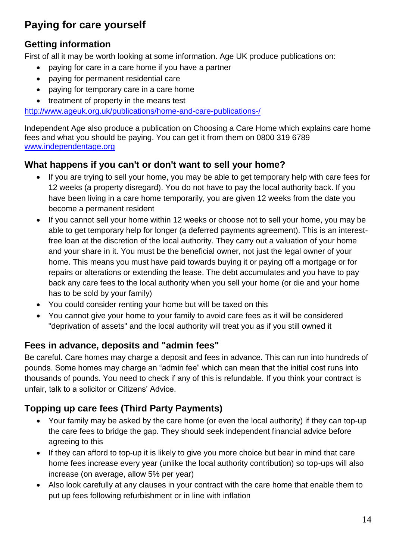# <span id="page-13-0"></span>**Paying for care yourself**

## <span id="page-13-1"></span>**Getting information**

First of all it may be worth looking at some information. Age UK produce publications on:

- paying for care in a care home if you have a partner
- paying for permanent residential care
- paying for temporary care in a care home
- treatment of property in the means test

<http://www.ageuk.org.uk/publications/home-and-care-publications-/>

Independent Age also produce a publication on Choosing a Care Home which explains care home fees and what you should be paying. You can get it from them on 0800 319 6789 [www.independentage.org](http://www.independentage.org/)

## <span id="page-13-2"></span>**What happens if you can't or don't want to sell your home?**

- If you are trying to sell your home, you may be able to get temporary help with care fees for 12 weeks (a property disregard). You do not have to pay the local authority back. If you have been living in a care home temporarily, you are given 12 weeks from the date you become a permanent resident
- If you cannot sell your home within 12 weeks or choose not to sell your home, you may be able to get temporary help for longer (a deferred payments agreement). This is an interestfree loan at the discretion of the local authority. They carry out a valuation of your home and your share in it. You must be the beneficial owner, not just the legal owner of your home. This means you must have paid towards buying it or paying off a mortgage or for repairs or alterations or extending the lease. The debt accumulates and you have to pay back any care fees to the local authority when you sell your home (or die and your home has to be sold by your family)
- You could consider renting your home but will be taxed on this
- You cannot give your home to your family to avoid care fees as it will be considered "deprivation of assets" and the local authority will treat you as if you still owned it

## <span id="page-13-3"></span>**Fees in advance, deposits and "admin fees"**

Be careful. Care homes may charge a deposit and fees in advance. This can run into hundreds of pounds. Some homes may charge an "admin fee" which can mean that the initial cost runs into thousands of pounds. You need to check if any of this is refundable. If you think your contract is unfair, talk to a solicitor or Citizens' Advice.

## <span id="page-13-4"></span>**Topping up care fees (Third Party Payments)**

- Your family may be asked by the care home (or even the local authority) if they can top-up the care fees to bridge the gap. They should seek independent financial advice before agreeing to this
- If they can afford to top-up it is likely to give you more choice but bear in mind that care home fees increase every year (unlike the local authority contribution) so top-ups will also increase (on average, allow 5% per year)
- Also look carefully at any clauses in your contract with the care home that enable them to put up fees following refurbishment or in line with inflation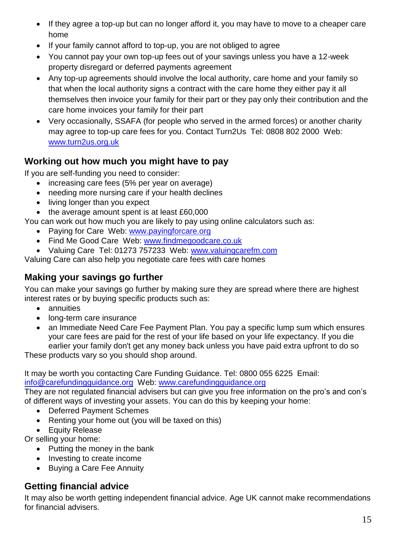- If they agree a top-up but can no longer afford it, you may have to move to a cheaper care home
- If your family cannot afford to top-up, you are not obliged to agree
- You cannot pay your own top-up fees out of your savings unless you have a 12-week property disregard or deferred payments agreement
- Any top-up agreements should involve the local authority, care home and your family so that when the local authority signs a contract with the care home they either pay it all themselves then invoice your family for their part or they pay only their contribution and the care home invoices your family for their part
- Very occasionally, SSAFA (for people who served in the armed forces) or another charity may agree to top-up care fees for you. Contact Turn2Us Tel: 0808 802 2000 Web: www.turn2us.org.uk

## <span id="page-14-0"></span>**Working out how much you might have to pay**

If you are self-funding you need to consider:

- increasing care fees (5% per year on average)
- needing more nursing care if your health declines
- living longer than you expect
- the average amount spent is at least £60,000

You can work out how much you are likely to pay using online calculators such as:

- Paying for Care Web: www.payingforcare.org
- Find Me Good Care Web: www.findmegoodcare.co.uk
- Valuing Care Tel: 01273 757233 Web: www.valuingcarefm.com

Valuing Care can also help you negotiate care fees with care homes

## <span id="page-14-1"></span>**Making your savings go further**

You can make your savings go further by making sure they are spread where there are highest interest rates or by buying specific products such as:

- annuities
- long-term care insurance
- an Immediate Need Care Fee Payment Plan. You pay a specific lump sum which ensures your care fees are paid for the rest of your life based on your life expectancy. If you die earlier your family don't get any money back unless you have paid extra upfront to do so

These products vary so you should shop around.

It may be worth you contacting Care Funding Guidance. Tel: 0800 055 6225 Email:

[info@carefundingguidance.org](mailto:info@carefundingguidance.org) Web: [www.carefundingguidance.org](http://www.carefundingguidance.org/)

They are not regulated financial advisers but can give you free information on the pro's and con's of different ways of investing your assets. You can do this by keeping your home:

- Deferred Payment Schemes
- Renting your home out (you will be taxed on this)
- Equity Release

Or selling your home:

- Putting the money in the bank
- Investing to create income
- Buying a Care Fee Annuity

# <span id="page-14-2"></span>**Getting financial advice**

It may also be worth getting independent financial advice. Age UK cannot make recommendations for financial advisers.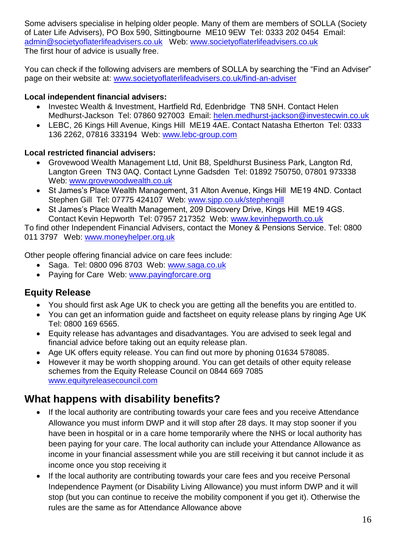Some advisers specialise in helping older people. Many of them are members of SOLLA (Society of Later Life Advisers), PO Box 590, Sittingbourne ME10 9EW Tel: 0333 202 0454 Email: [admin@societyoflaterlifeadvisers.co.uk](mailto:admin@societyoflaterlifeadvisers.co.uk) Web: [www.societyoflaterlifeadvisers.co.uk](http://www.societyoflaterlifeadvisers.co.uk/) The first hour of advice is usually free.

You can check if the following advisers are members of SOLLA by searching the "Find an Adviser" page on their website at: [www.societyoflaterlifeadvisers.co.uk/find-an-adviser](http://www.societyoflaterlifeadvisers.co.uk/find-an-adviser)

#### **Local independent financial advisers:**

- Investec Wealth & Investment, Hartfield Rd, Edenbridge TN8 5NH. Contact Helen Medhurst-Jackson Tel: 07860 927003 Email: [helen.medhurst-jackson@investecwin.co.uk](mailto:helen.medhurst-jackson@investecwin.co.uk)
- LEBC, 26 Kings Hill Avenue, Kings Hill ME19 4AE. Contact Natasha Etherton Tel: 0333 136 2262, 07816 333194 Web: [www.lebc-group.com](http://www.lebc-group.com/)

#### **Local restricted financial advisers:**

- Grovewood Wealth Management Ltd, Unit B8, Speldhurst Business Park, Langton Rd, Langton Green TN3 0AQ. Contact Lynne Gadsden Tel: 01892 750750, 07801 973338 Web: [www.grovewoodwealth.co.uk](http://www.grovewoodwealth.co.uk/)
- St James's Place Wealth Management, 31 Alton Avenue, Kings Hill ME19 4ND. Contact Stephen Gill Tel: 07775 424107 Web: [www.sjpp.co.uk/stephengill](http://www.sjpp.co.uk/stephengill)
- St James's Place Wealth Management, 209 Discovery Drive, Kings Hill ME19 4GS. Contact Kevin Hepworth Tel: 07957 217352 Web: [www.kevinhepworth.co.uk](http://www.kevinhepworth.co.uk/)

To find other Independent Financial Advisers, contact the Money & Pensions Service. Tel: 0800 011 3797 Web: [www.moneyhelper.org.uk](http://www.moneyhelper.org.uk/)

Other people offering financial advice on care fees include:

- Saga. Tel: 0800 096 8703 Web: www.saga.co.uk
- Paying for Care Web: [www.payingforcare.org](http://www.payingforcare.org/)

## <span id="page-15-0"></span>**Equity Release**

- You should first ask Age UK to check you are getting all the benefits you are entitled to.
- You can get an information guide and factsheet on equity release plans by ringing Age UK Tel: 0800 169 6565.
- Equity release has advantages and disadvantages. You are advised to seek legal and financial advice before taking out an equity release plan.
- Age UK offers equity release. You can find out more by phoning 01634 578085.
- However it may be worth shopping around. You can get details of other equity release schemes from the Equity Release Council on 0844 669 7085 [www.equityreleasecouncil.com](http://www.equityreleasecouncil.com/)

# <span id="page-15-1"></span>**What happens with disability benefits?**

- If the local authority are contributing towards your care fees and you receive Attendance Allowance you must inform DWP and it will stop after 28 days. It may stop sooner if you have been in hospital or in a care home temporarily where the NHS or local authority has been paying for your care. The local authority can include your Attendance Allowance as income in your financial assessment while you are still receiving it but cannot include it as income once you stop receiving it
- If the local authority are contributing towards your care fees and you receive Personal Independence Payment (or Disability Living Allowance) you must inform DWP and it will stop (but you can continue to receive the mobility component if you get it). Otherwise the rules are the same as for Attendance Allowance above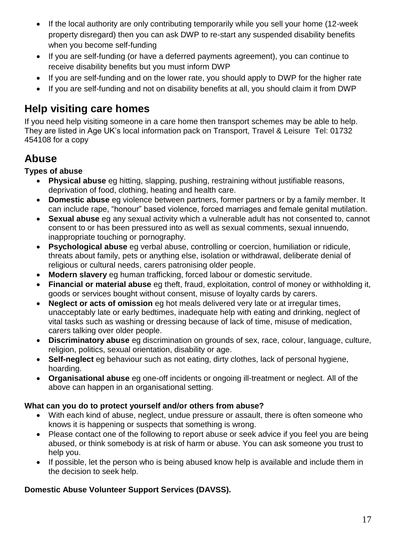- If the local authority are only contributing temporarily while you sell your home (12-week property disregard) then you can ask DWP to re-start any suspended disability benefits when you become self-funding
- If you are self-funding (or have a deferred payments agreement), you can continue to receive disability benefits but you must inform DWP
- If you are self-funding and on the lower rate, you should apply to DWP for the higher rate
- If you are self-funding and not on disability benefits at all, you should claim it from DWP

# <span id="page-16-0"></span>**Help visiting care homes**

If you need help visiting someone in a care home then transport schemes may be able to help. They are listed in Age UK's local information pack on Transport, Travel & Leisure Tel: 01732 454108 for a copy

# <span id="page-16-1"></span>**Abuse**

#### **Types of abuse**

- **Physical abuse** eg hitting, slapping, pushing, restraining without justifiable reasons, deprivation of food, clothing, heating and health care.
- **Domestic abuse** eg violence between partners, former partners or by a family member. It can include rape, "honour" based violence, forced marriages and female genital mutilation.
- **Sexual abuse** eg any sexual activity which a vulnerable adult has not consented to, cannot consent to or has been pressured into as well as sexual comments, sexual innuendo, inappropriate touching or pornography.
- **Psychological abuse** eg verbal abuse, controlling or coercion, humiliation or ridicule, threats about family, pets or anything else, isolation or withdrawal, deliberate denial of religious or cultural needs, carers patronising older people.
- **Modern slavery** eg human trafficking, forced labour or domestic servitude.
- **Financial or material abuse** eg theft, fraud, exploitation, control of money or withholding it, goods or services bought without consent, misuse of loyalty cards by carers.
- **Neglect or acts of omission** eg hot meals delivered very late or at irregular times, unacceptably late or early bedtimes, inadequate help with eating and drinking, neglect of vital tasks such as washing or dressing because of lack of time, misuse of medication, carers talking over older people.
- **Discriminatory abuse** eg discrimination on grounds of sex, race, colour, language, culture, religion, politics, sexual orientation, disability or age.
- **Self-neglect** eg behaviour such as not eating, dirty clothes, lack of personal hygiene, hoarding.
- **Organisational abuse** eg one-off incidents or ongoing ill-treatment or neglect. All of the above can happen in an organisational setting.

#### **What can you do to protect yourself and/or others from abuse?**

- With each kind of abuse, neglect, undue pressure or assault, there is often someone who knows it is happening or suspects that something is wrong.
- Please contact one of the following to report abuse or seek advice if you feel you are being abused, or think somebody is at risk of harm or abuse. You can ask someone you trust to help you.
- If possible, let the person who is being abused know help is available and include them in the decision to seek help.

## **Domestic Abuse Volunteer Support Services (DAVSS).**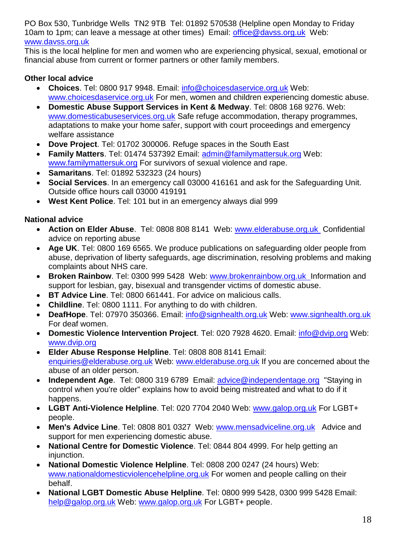PO Box 530, Tunbridge Wells TN2 9TB Tel: 01892 570538 (Helpline open Monday to Friday 10am to 1pm; can leave a message at other times) Email: office@davss.org.uk Web: www.davss.org.uk

This is the local helpline for men and women who are experiencing physical, sexual, emotional or financial abuse from current or former partners or other family members.

#### **Other local advice**

- **Choices**. Tel: 0800 917 9948. Email: [info@choicesdaservice.org.uk](mailto:info@choicesdaservice.org.uk) Web: [www.choicesdaservice.org.uk](http://www.choicesdaservice.org.uk/) For men, women and children experiencing domestic abuse.
- **Domestic Abuse Support Services in Kent & Medway**. Tel: 0808 168 9276. Web: [www.domesticabuseservices.org.uk](http://www.domesticabuseservices.org.uk/) Safe refuge accommodation, therapy programmes, adaptations to make your home safer, support with court proceedings and emergency welfare assistance
- **Dove Project**. Tel: 01702 300006. Refuge spaces in the South East
- **Family Matters**. Tel: 01474 537392 Email: [admin@familymattersuk.org](mailto:admin@familymattersuk.org) Web: [www.familymattersuk.org](http://www.familymattersuk.org/) For survivors of sexual violence and rape.
- **Samaritans**. Tel: 01892 532323 (24 hours)
- **Social Services**. In an emergency call 03000 416161 and ask for the Safeguarding Unit. Outside office hours call 03000 419191
- **West Kent Police**. Tel: 101 but in an emergency always dial 999

## **National advice**

- **Action on Elder Abuse**. Tel: 0808 808 8141 Web: www.elderabuse.org.uk Confidential advice on reporting abuse
- **Age UK**. Tel: 0800 169 6565. We produce publications on safeguarding older people from abuse, deprivation of liberty safeguards, age discrimination, resolving problems and making complaints about NHS care.
- **Broken Rainbow**. Tel: 0300 999 5428 Web: www.brokenrainbow.org.uk Information and support for lesbian, gay, bisexual and transgender victims of domestic abuse.
- **BT Advice Line**. Tel: 0800 661441. For advice on malicious calls.
- **Childline**. Tel: 0800 1111. For anything to do with children.
- **DeafHope**. Tel: 07970 350366. Email: [info@signhealth.org.uk](mailto:info@signhealth.org.uk) Web: [www.signhealth.org.uk](http://www.signhealth.org.uk/) For deaf women.
- **Domestic Violence Intervention Project**. Tel: 020 7928 4620. Email: [info@dvip.org](mailto:info@dvip.org) Web: [www.dvip.org](http://www.dvip.org/)
- **Elder Abuse Response Helpline**. Tel: 0808 808 8141 Email: [enquiries@elderabuse.org.uk](mailto:enquiries@elderabuse.org.uk) Web: [www.elderabuse.org.uk](http://www.elderabuse.org.uk/) If you are concerned about the abuse of an older person.
- **Independent Age**. Tel: 0800 319 6789 Email: **advice@independentage.org** "Staying in control when you're older" explains how to avoid being mistreated and what to do if it happens.
- **LGBT Anti-Violence Helpline**. Tel: 020 7704 2040 Web: [www.galop.org.uk](http://www.galop.org.uk/) For LGBT+ people.
- **Men's Advice Line**. Tel: 0808 801 0327 Web: www.mensadviceline.org.uk Advice and support for men experiencing domestic abuse.
- **National Centre for Domestic Violence**. Tel: 0844 804 4999. For help getting an injunction.
- **National Domestic Violence Helpline**. Tel: 0808 200 0247 (24 hours) Web: [www.nationaldomesticviolencehelpline.org.uk](http://www.nationaldomesticviolencehelpline.org.uk/) For women and people calling on their behalf.
- **National LGBT Domestic Abuse Helpline**. Tel: 0800 999 5428, 0300 999 5428 Email: [help@galop.org.uk](mailto:help@galop.org.uk) Web: [www.galop.org.uk](http://www.galop.org.uk/) For LGBT+ people.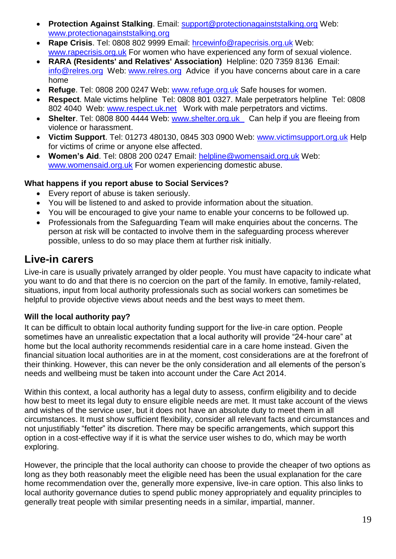- **Protection Against Stalking**. Email: [support@protectionagainststalking.org](mailto:support@protectionagainststalking.org) Web: [www.protectionagainststalking.org](http://www.protectionagainststalking.org/)
- **Rape Crisis**. Tel: 0808 802 9999 Email: [hrcewinfo@rapecrisis.org.uk](mailto:hrcewinfo@rapecrisis.org.uk) Web: [www.rapecrisis.org.uk](http://www.rapecrisis.org.uk/) For women who have experienced any form of sexual violence.
- **RARA (Residents' and Relatives' Association)** Helpline: 020 7359 8136 Email: info@relres.org Web: www.relres.org Advice if you have concerns about care in a care home
- **Refuge**. Tel: 0808 200 0247 Web: [www.refuge.org.uk](http://www.refuge.org.uk/) Safe houses for women.
- **Respect**. Male victims helpline Tel: 0808 801 0327. Male perpetrators helpline Tel: 0808 802 4040 Web: www.respect.uk.net Work with male perpetrators and victims.
- **Shelter**. Tel: 0808 800 4444 Web: [www.shelter.org.uk](http://www.shelter.org.uk/) Can help if you are fleeing from violence or harassment.
- **Victim Support**. Tel: 01273 480130, 0845 303 0900 Web: [www.victimsupport.org.uk](http://www.victimsupport.org.uk/) Help for victims of crime or anyone else affected.
- **Women's Aid**. Tel: 0808 200 0247 Email: [helpline@womensaid.org.uk](mailto:helpline@womensaid.org.uk) Web: [www.womensaid.org.uk](http://www.womensaid.org.uk/) For women experiencing domestic abuse.

#### **What happens if you report abuse to Social Services?**

- Every report of abuse is taken seriously.
- You will be listened to and asked to provide information about the situation.
- You will be encouraged to give your name to enable your concerns to be followed up.
- Professionals from the Safeguarding Team will make enquiries about the concerns. The person at risk will be contacted to involve them in the safeguarding process wherever possible, unless to do so may place them at further risk initially.

## <span id="page-18-0"></span>**Live-in carers**

Live-in care is usually privately arranged by older people. You must have capacity to indicate what you want to do and that there is no coercion on the part of the family. In emotive, family-related, situations, input from local authority professionals such as social workers can sometimes be helpful to provide objective views about needs and the best ways to meet them.

#### <span id="page-18-1"></span>**Will the local authority pay?**

It can be difficult to obtain local authority funding support for the live-in care option. People sometimes have an unrealistic expectation that a local authority will provide "24-hour care" at home but the local authority recommends residential care in a care home instead. Given the financial situation local authorities are in at the moment, cost considerations are at the forefront of their thinking. However, this can never be the only consideration and all elements of the person's needs and wellbeing must be taken into account under the Care Act 2014.

Within this context, a local authority has a legal duty to assess, confirm eligibility and to decide how best to meet its legal duty to ensure eligible needs are met. It must take account of the views and wishes of the service user, but it does not have an absolute duty to meet them in all circumstances. It must show sufficient flexibility, consider all relevant facts and circumstances and not unjustifiably "fetter" its discretion. There may be specific arrangements, which support this option in a cost-effective way if it is what the service user wishes to do, which may be worth exploring.

However, the principle that the local authority can choose to provide the cheaper of two options as long as they both reasonably meet the eligible need has been the usual explanation for the care home recommendation over the, generally more expensive, live-in care option. This also links to local authority governance duties to spend public money appropriately and equality principles to generally treat people with similar presenting needs in a similar, impartial, manner.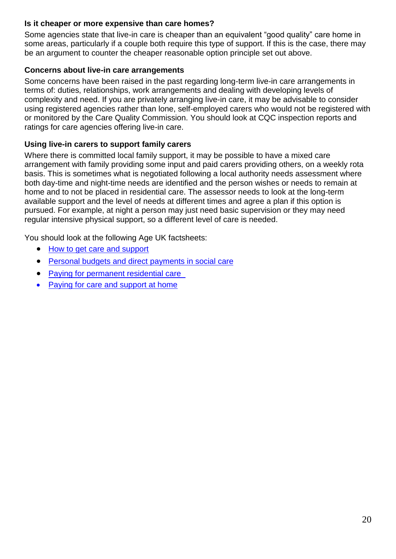#### <span id="page-19-0"></span>**Is it cheaper or more expensive than care homes?**

Some agencies state that live-in care is cheaper than an equivalent "good quality" care home in some areas, particularly if a couple both require this type of support. If this is the case, there may be an argument to counter the cheaper reasonable option principle set out above.

#### <span id="page-19-1"></span>**Concerns about live-in care arrangements**

Some concerns have been raised in the past regarding long-term live-in care arrangements in terms of: duties, relationships, work arrangements and dealing with developing levels of complexity and need. If you are privately arranging live-in care, it may be advisable to consider using registered agencies rather than lone, self-employed carers who would not be registered with or monitored by the Care Quality Commission. You should look at CQC inspection reports and ratings for care agencies offering live-in care.

#### <span id="page-19-2"></span>**Using live-in carers to support family carers**

Where there is committed local family support, it may be possible to have a mixed care arrangement with family providing some input and paid carers providing others, on a weekly rota basis. This is sometimes what is negotiated following a local authority needs assessment where both day-time and night-time needs are identified and the person wishes or needs to remain at home and to not be placed in residential care. The assessor needs to look at the long-term available support and the level of needs at different times and agree a plan if this option is pursued. For example, at night a person may just need basic supervision or they may need regular intensive physical support, so a different level of care is needed.

You should look at the following Age UK factsheets:

- [How to get care and support](file:///E:/How%20to%20get%20care%20and%20support)
- [Personal budgets and direct payments in social care](file:///E:/Personal%20budgets%20and%20direct%20payments%20in%20social%20care)
- [Paying for permanent residential care](file:///E:/Paying%20for%20permanent%20residential%20care)
- [Paying for care and support at home](file:///E:/Paying%20for%20care%20and%20support%20at%20home)